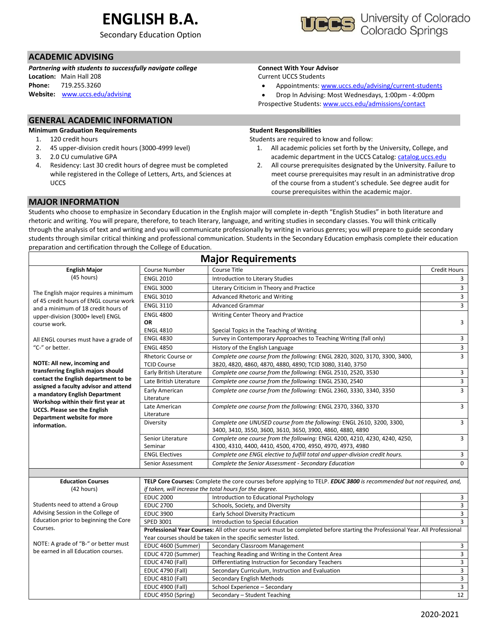# **ENGLISH B.A.**

Secondary Education Option

# **ACADEMIC ADVISING**

*Partnering with students to successfully navigate college* **Location:** Main Hall 208 **Phone:** 719.255.3260 **Website:** [www.uccs.edu/advising](http://www.uccs.edu/advising)

### **Connect With Your Advisor**

Current UCCS Students

- Appointments: [www.uccs.edu/advising/current-students](http://www.uccs.edu/advising/current-students)
- Drop In Advising: Most Wednesdays, 1:00pm 4:00pm Prospective Students: [www.uccs.edu/admissions/contact](http://www.uccs.edu/admissions/contact)

## **GENERAL ACADEMIC INFORMATION**

**Minimum Graduation Requirements**

- 1. 120 credit hours
- 2. 45 upper-division credit hours (3000-4999 level)
- 3. 2.0 CU cumulative GPA
- 4. Residency: Last 30 credit hours of degree must be completed while registered in the College of Letters, Arts, and Sciences at **UCCS**

#### **Student Responsibilities**

Students are required to know and follow:

- 1. All academic policies set forth by the University, College, and academic department in the UCCS Catalog[: catalog.uccs.edu](file://///columbia/dept/Success/Advising%20Guides/197%20Advising%20Guides/catalog.uccs.edu)
- 2. All course prerequisites designated by the University. Failure to meet course prerequisites may result in an administrative drop of the course from a student's schedule. See degree audit for course prerequisites within the academic major.

### **MAJOR INFORMATION**

Students who choose to emphasize in Secondary Education in the English major will complete in-depth "English Studies" in both literature and rhetoric and writing. You will prepare, therefore, to teach literary, language, and writing studies in secondary classes. You will think critically through the analysis of text and writing and you will communicate professionally by writing in various genres; you will prepare to guide secondary students through similar critical thinking and professional communication. Students in the Secondary Education emphasis complete their education preparation and certification through the College of Education.

| <b>Major Requirements</b>                                                     |                                                                                                                            |                                                                                                                                          |                |  |  |  |  |  |
|-------------------------------------------------------------------------------|----------------------------------------------------------------------------------------------------------------------------|------------------------------------------------------------------------------------------------------------------------------------------|----------------|--|--|--|--|--|
| Course Number<br>Course Title<br><b>English Major</b>                         |                                                                                                                            |                                                                                                                                          |                |  |  |  |  |  |
| (45 hours)                                                                    | <b>ENGL 2010</b>                                                                                                           | Introduction to Literary Studies                                                                                                         | 3              |  |  |  |  |  |
|                                                                               | <b>ENGL 3000</b>                                                                                                           | Literary Criticism in Theory and Practice                                                                                                | $\overline{3}$ |  |  |  |  |  |
| The English major requires a minimum                                          | <b>ENGL 3010</b>                                                                                                           | Advanced Rhetoric and Writing                                                                                                            | $\overline{3}$ |  |  |  |  |  |
| of 45 credit hours of ENGL course work<br>and a minimum of 18 credit hours of | <b>ENGL 3110</b>                                                                                                           | <b>Advanced Grammar</b>                                                                                                                  | $\overline{3}$ |  |  |  |  |  |
| upper-division (3000+ level) ENGL                                             | <b>ENGL 4800</b>                                                                                                           | Writing Center Theory and Practice                                                                                                       |                |  |  |  |  |  |
| course work.                                                                  | <b>OR</b>                                                                                                                  |                                                                                                                                          | 3              |  |  |  |  |  |
|                                                                               | <b>ENGL 4810</b>                                                                                                           | Special Topics in the Teaching of Writing                                                                                                |                |  |  |  |  |  |
| All ENGL courses must have a grade of                                         | <b>ENGL 4830</b>                                                                                                           | Survey in Contemporary Approaches to Teaching Writing (fall only)                                                                        | 3              |  |  |  |  |  |
| "C-" or better.                                                               | <b>ENGL 4850</b>                                                                                                           | History of the English Language                                                                                                          | 3              |  |  |  |  |  |
| NOTE: All new, incoming and                                                   | <b>Rhetoric Course or</b><br><b>TCID Course</b>                                                                            | Complete one course from the following: ENGL 2820, 3020, 3170, 3300, 3400,<br>3820, 4820, 4860, 4870, 4880, 4890; TCID 3080, 3140, 3750  | $\overline{3}$ |  |  |  |  |  |
| transferring English majors should                                            | Early British Literature                                                                                                   | Complete one course from the following: ENGL 2510, 2520, 3530                                                                            | 3              |  |  |  |  |  |
| contact the English department to be                                          | Late British Literature                                                                                                    | Complete one course from the following: ENGL 2530, 2540                                                                                  | $\mathbf{3}$   |  |  |  |  |  |
| assigned a faculty advisor and attend<br>a mandatory English Department       | Early American                                                                                                             | Complete one course from the following: ENGL 2360, 3330, 3340, 3350                                                                      | 3              |  |  |  |  |  |
| Workshop within their first year at                                           | Literature                                                                                                                 |                                                                                                                                          |                |  |  |  |  |  |
| <b>UCCS. Please see the English</b><br>Department website for more            | Late American<br>Literature                                                                                                | Complete one course from the following: ENGL 2370, 3360, 3370                                                                            | 3              |  |  |  |  |  |
| information.                                                                  | Diversity                                                                                                                  | Complete one UNUSED course from the following: ENGL 2610, 3200, 3300,<br>3400, 3410, 3550, 3600, 3610, 3650, 3900, 4860, 4880, 4890      | $\overline{3}$ |  |  |  |  |  |
|                                                                               | Senior Literature<br>Seminar                                                                                               | Complete one course from the following: ENGL 4200, 4210, 4230, 4240, 4250,<br>4300, 4310, 4400, 4410, 4500, 4700, 4950, 4970, 4973, 4980 | 3              |  |  |  |  |  |
|                                                                               | <b>ENGL Electives</b>                                                                                                      | Complete one ENGL elective to fulfill total and upper-division credit hours.                                                             | $\mathbf{3}$   |  |  |  |  |  |
|                                                                               | Senior Assessment                                                                                                          | Complete the Senior Assessment - Secondary Education                                                                                     | 0              |  |  |  |  |  |
|                                                                               |                                                                                                                            |                                                                                                                                          |                |  |  |  |  |  |
| <b>Education Courses</b>                                                      |                                                                                                                            | TELP Core Courses: Complete the core courses before applying to TELP. EDUC 3800 is recommended but not required, and,                    |                |  |  |  |  |  |
| (42 hours)                                                                    |                                                                                                                            | if taken, will increase the total hours for the degree.                                                                                  |                |  |  |  |  |  |
|                                                                               | <b>EDUC 2000</b>                                                                                                           | Introduction to Educational Psychology                                                                                                   | 3              |  |  |  |  |  |
| Students need to attend a Group                                               | <b>EDUC 2700</b>                                                                                                           | Schools, Society, and Diversity                                                                                                          | 3              |  |  |  |  |  |
| Advising Session in the College of                                            | <b>EDUC 3900</b>                                                                                                           | Early School Diversity Practicum                                                                                                         | 3              |  |  |  |  |  |
| Education prior to beginning the Core                                         | SPED 3001                                                                                                                  | Introduction to Special Education                                                                                                        | $\overline{3}$ |  |  |  |  |  |
| Courses.                                                                      | Professional Year Courses: All other course work must be completed before starting the Professional Year. All Professional |                                                                                                                                          |                |  |  |  |  |  |
|                                                                               | Year courses should be taken in the specific semester listed.                                                              |                                                                                                                                          |                |  |  |  |  |  |
| NOTE: A grade of "B-" or better must<br>be earned in all Education courses.   | EDUC 4600 (Summer)                                                                                                         | Secondary Classroom Management                                                                                                           | 3              |  |  |  |  |  |
|                                                                               | EDUC 4720 (Summer)                                                                                                         | Teaching Reading and Writing in the Content Area                                                                                         | 3              |  |  |  |  |  |
|                                                                               | <b>EDUC 4740 (Fall)</b>                                                                                                    | Differentiating Instruction for Secondary Teachers                                                                                       | $\overline{3}$ |  |  |  |  |  |
|                                                                               | <b>EDUC 4790 (Fall)</b>                                                                                                    | Secondary Curriculum, Instruction and Evaluation                                                                                         | $\mathbf{3}$   |  |  |  |  |  |
|                                                                               | EDUC 4810 (Fall)                                                                                                           | Secondary English Methods                                                                                                                | $\overline{3}$ |  |  |  |  |  |
|                                                                               | <b>EDUC 4900 (Fall)</b>                                                                                                    | School Experience - Secondary                                                                                                            | 3              |  |  |  |  |  |
|                                                                               | EDUC 4950 (Spring)                                                                                                         | Secondary - Student Teaching                                                                                                             | 12             |  |  |  |  |  |